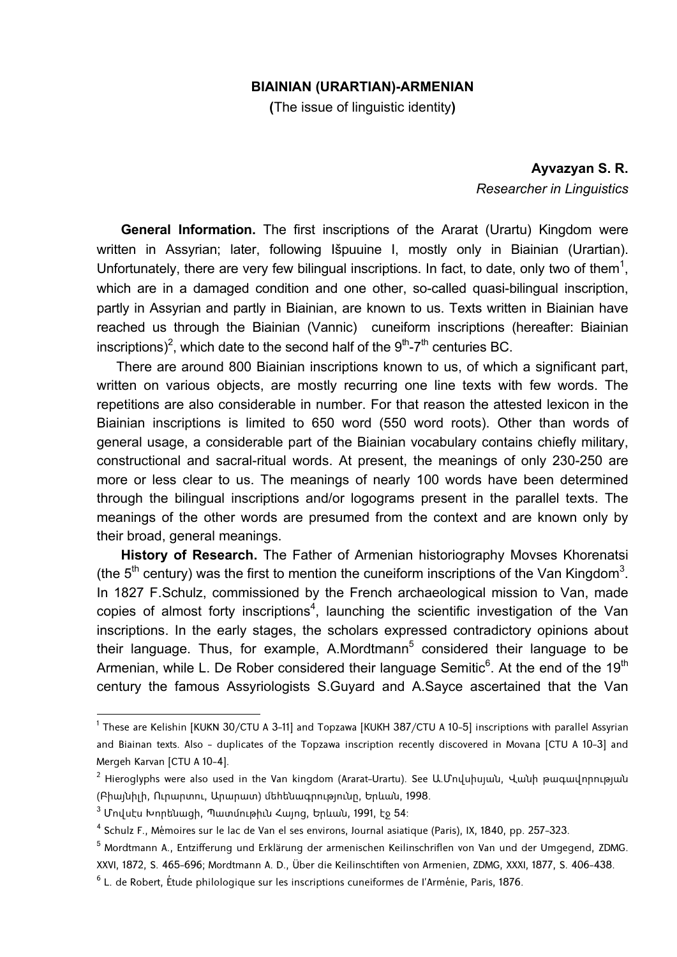## **BIAINIAN (URARTIAN)-ARMENIAN**

**(**The issue of linguistic identity**)** 

**Ayvazyan S. R.**  *Researcher in Linguistics* 

**General Information.** The first inscriptions of the Ararat (Urartu) Kingdom were written in Assyrian; later, following Išpuuine I, mostly only in Biainian (Urartian). Unfortunately, there are very few bilingual inscriptions. In fact, to date, only two of them<sup>1</sup>, which are in a damaged condition and one other, so-called quasi-bilingual inscription, partly in Assyrian and partly in Biainian, are known to us. Texts written in Biainian have reached us through the Biainian (Vannic) cuneiform inscriptions (hereafter: Biainian inscriptions)<sup>2</sup>, which date to the second half of the  $9<sup>th</sup> - 7<sup>th</sup>$  centuries BC.

There are around 800 Biainian inscriptions known to us, of which a significant part, written on various objects, are mostly recurring one line texts with few words. The repetitions are also considerable in number. For that reason the attested lexicon in the Biainian inscriptions is limited to 650 word (550 word roots). Other than words of general usage, a considerable part of the Biainian vocabulary contains chiefly military, constructional and sacral-ritual words. At present, the meanings of only 230-250 are more or less clear to us. The meanings of nearly 100 words have been determined through the bilingual inscriptions and/or logograms present in the parallel texts. The meanings of the other words are presumed from the context and are known only by their broad, general meanings.

**History of Research.** The Father of Armenian historiography Movses Khorenatsi (the  $5<sup>th</sup>$  century) was the first to mention the cuneiform inscriptions of the Van Kingdom<sup>3</sup>. In 1827 F.Schulz, commissioned by the French archaeological mission to Van, made copies of almost forty inscriptions<sup>4</sup>, launching the scientific investigation of the Van inscriptions. In the early stages, the scholars expressed contradictory opinions about their language. Thus, for example, A.Mordtmann<sup>5</sup> considered their language to be Armenian, while L. De Rober considered their language Semitic<sup>6</sup>. At the end of the 19<sup>th</sup> century the famous Assyriologists S.Guyard and A.Sayce ascertained that the Van

1

 $^{\rm 1}$  These are Kelishin [KUKN 30/CTU A 3–11] and Topzawa [KUKH 387/CTU A 10–5] inscriptions with parallel Assyrian and Biainan texts. Also - duplicates of the Topzawa inscription recently discovered in Movana [CTU A 10-3] and Mergeh Karvan [CTU A 10-4].

 $^2$  Hieroglyphs were also used in the Van kingdom (Ararat–Urartu). See Ա.Մովսիսյան, Վանի թագավորության (Բիայնիլի, Ուրարտու, Արարատ) մեհենագրությունը, Երևան, 1998.

<sup>&</sup>lt;sup>3</sup> Մովսէս Խորենացի, Պատմութիւն Հայոց, Երևան, 1991, էջ 54։

<sup>4</sup> Schulz F., Mémoires sur le lac de Van el ses environs, Journal asiatique (Paris), IX, 1840, pp. 257-323.

<sup>&</sup>lt;sup>5</sup> Mordtmann A., Entzifferung und Erklärung der armenischen Keilinschriflen von Van und der Umgegend, ZDMG. XXVI, 1872, S. 465-696; Mordtmann A. D., Über die Keilinschtiften von Armenien, ZDMG, XXXI, 1877, S. 406-438.

 $^6$  L. de Robert, Étude philologique sur les inscriptions cuneiformes de l'Arménie, Paris, 1876.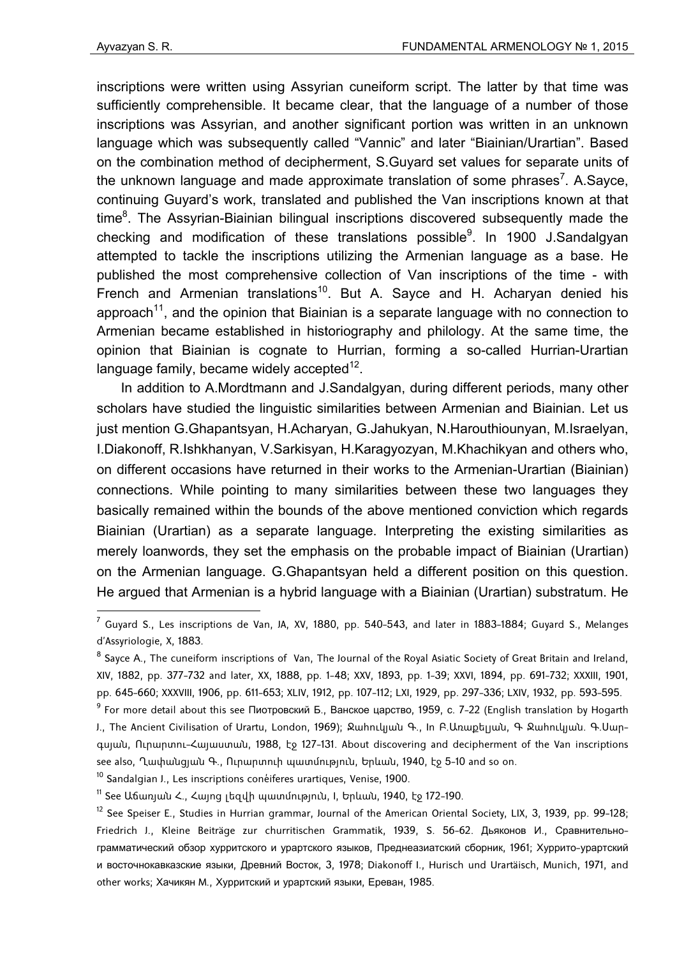inscriptions were written using Assyrian cuneiform script. The latter by that time was sufficiently comprehensible. It became clear, that the language of a number of those inscriptions was Assyrian, and another significant portion was written in an unknown language which was subsequently called "Vannic" and later "Biainian/Urartian". Based on the combination method of decipherment, S.Guyard set values for separate units of the unknown language and made approximate translation of some phrases<sup>7</sup>. A.Sayce, continuing Guyard's work, translated and published the Van inscriptions known at that time<sup>8</sup>. The Assyrian-Biainian bilingual inscriptions discovered subsequently made the checking and modification of these translations possible<sup>9</sup>. In 1900 J.Sandalgyan attempted to tackle the inscriptions utilizing the Armenian language as a base. He published the most comprehensive collection of Van inscriptions of the time - with French and Armenian translations<sup>10</sup>. But A. Sayce and H. Acharyan denied his approach<sup>11</sup>, and the opinion that Biainian is a separate language with no connection to Armenian became established in historiography and philology. At the same time, the opinion that Biainian is cognate to Hurrian, forming a so-called Hurrian-Urartian language family, became widely accepted $12$ .

In addition to A.Mordtmann and J.Sandalgyan, during different periods, many other scholars have studied the linguistic similarities between Armenian and Biainian. Let us just mention G.Ghapantsyan, H.Acharyan, G.Jahukyan, N.Harouthiounyan, M.Israelyan, I.Diakonoff, R.Ishkhanyan, V.Sarkisyan, H.Karagyozyan, M.Khachikyan and others who, on different occasions have returned in their works to the Armenian-Urartian (Biainian) connections. While pointing to many similarities between these two languages they basically remained within the bounds of the above mentioned conviction which regards Biainian (Urartian) as a separate language. Interpreting the existing similarities as merely loanwords, they set the emphasis on the probable impact of Biainian (Urartian) on the Armenian language. G.Ghapantsyan held a different position on this question. He argued that Armenian is a hybrid language with a Biainian (Urartian) substratum. He

<sup>10</sup> Sandalgian J., Les inscriptions conéiferes urartiques, Venise, 1900.

 $^7$  Guyard S., Les inscriptions de Van, JA, XV, 1880, pp. 540–543, and later in 1883–1884; Guyard S., Melanges d'Assyriologie, X, 1883.

 $^8$  Sayce A., The cuneiform inscriptions of Van, The Journal of the Royal Asiatic Society of Great Britain and Ireland, XIV, 1882, pp. 377-732 and later, XX, 1888, pp. 1-48; XXV, 1893, pp. 1-39; XXVI, 1894, pp. 691-732; XXXIII, 1901, pp. 645-660; XXXVIII, 1906, pp. 611-653; XLIV, 1912, pp. 107-112; LXI, 1929, pp. 297-336; LXIV, 1932, pp. 593-595.

<sup>&</sup>lt;sup>9</sup> For more detail about this see Пиотровский Б., Ванское царство, 1959, с. 7-22 (English translation by Hogarth J., The Ancient Civilisation of Urartu, London, 1969); Ջահուկյան Գ., In Բ.Առաքելյան, Գ Ջահուկյան. Գ.Սարգսյան, Ուրարտու-Հայաստան, 1988, էջ 127-131. About discovering and decipherment of the Van inscriptions see also, Ղափանցյան Գ., Ուրարտուի պատմություն, Երևան, 1940, էջ 5-10 and so on.

 $11$  See Աճառյան Հ., Հայոց լեզվի պատմություն, I, Երևան, 1940, էջ 172-190.

 $12$  See Speiser E., Studies in Hurrian grammar, Journal of the American Oriental Society, LIX, 3, 1939, pp. 99-128; Friedrich J., Kleine Beiträge zur churritischen Grammatik, 1939, S. 56-62. Дьяконов И., Сравнительнограмматический обзор хурритского и урартского языков, Преднеазиатский сборник, 1961; Хуррито-урартский и восточнокавказские языки, Древний Восток, 3, 1978; Diakonoff I., Hurisch und Urartäisch, Munich, 1971, and other works; Хачикян M., Хурритский и урартский языки, Ереван, 1985.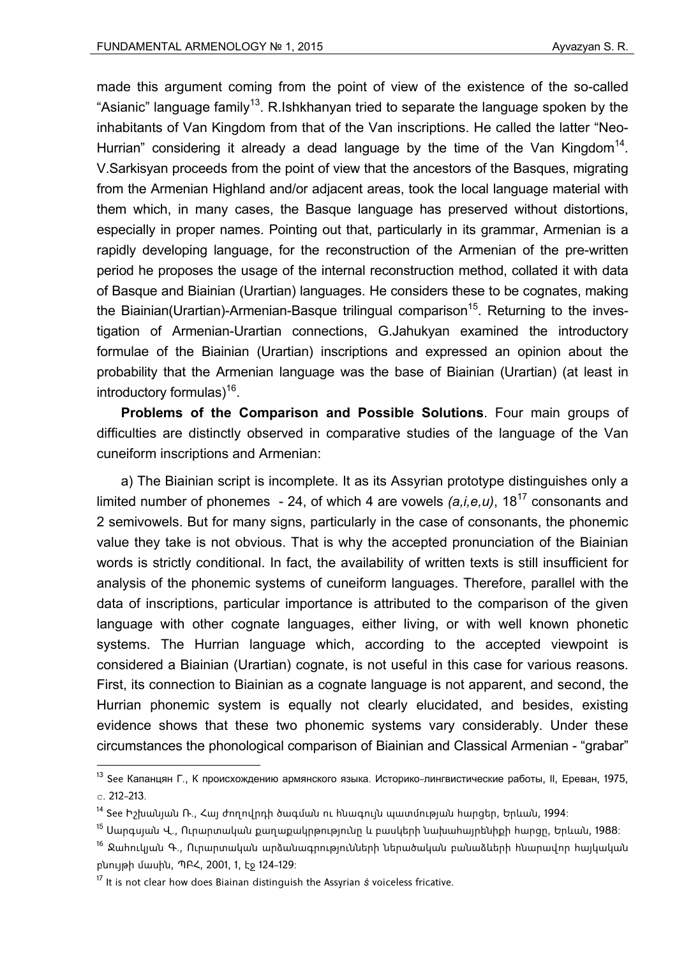made this argument coming from the point of view of the existence of the so-called "Asianic" language family<sup>13</sup>. R.Ishkhanyan tried to separate the language spoken by the inhabitants of Van Kingdom from that of the Van inscriptions. He called the latter "Neo-Hurrian" considering it already a dead language by the time of the Van Kingdom<sup>14</sup>. V.Sarkisyan proceeds from the point of view that the ancestors of the Basques, migrating from the Armenian Highland and/or adjacent areas, took the local language material with them which, in many cases, the Basque language has preserved without distortions, especially in proper names. Pointing out that, particularly in its grammar, Armenian is a rapidly developing language, for the reconstruction of the Armenian of the pre-written period he proposes the usage of the internal reconstruction method, collated it with data of Basque and Biainian (Urartian) languages. He considers these to be cognates, making the Biainian(Urartian)-Armenian-Basque trilingual comparison<sup>15</sup>. Returning to the investigation of Armenian-Urartian connections, G.Jahukyan examined the introductory formulae of the Biainian (Urartian) inscriptions and expressed an opinion about the probability that the Armenian language was the base of Biainian (Urartian) (at least in introductory formulas)16.

**Problems of the Comparison and Possible Solutions**. Four main groups of difficulties are distinctly observed in comparative studies of the language of the Van cuneiform inscriptions and Armenian:

a) The Biainian script is incomplete. It as its Assyrian prototype distinguishes only a limited number of phonemes - 24, of which 4 are vowels *(a,i,e,u)*, 1817 consonants and 2 semivowels. But for many signs, particularly in the case of consonants, the phonemic value they take is not obvious. That is why the accepted pronunciation of the Biainian words is strictly conditional. In fact, the availability of written texts is still insufficient for analysis of the phonemic systems of cuneiform languages. Therefore, parallel with the data of inscriptions, particular importance is attributed to the comparison of the given language with other cognate languages, either living, or with well known phonetic systems. The Hurrian language which, according to the accepted viewpoint is considered a Biainian (Urartian) cognate, is not useful in this case for various reasons. First, its connection to Biainian as a cognate language is not apparent, and second, the Hurrian phonemic system is equally not clearly elucidated, and besides, existing evidence shows that these two phonemic systems vary considerably. Under these circumstances the phonological comparison of Biainian and Classical Armenian - "grabar"

1

<sup>&</sup>lt;sup>13</sup> See Капанцян Г., К происхождению армянского языка. Историко-лингвистические работы, II, Ереван, 1975, с. 212-213.

 $14$  See Իշխանյան Ռ., Հայ ժողովրդի ծագման ու հնագույն պատմության հարցեր, Երևան, 1994։

<sup>&</sup>lt;sup>15</sup> Սարգսյան Վ., Ուրարտական քաղաքակրթությունը և բասկերի նախահայրենիքի հարցը, Երևան, 1988։

<sup>&</sup>lt;sup>16</sup> Ջահուկյան Գ., Ուրարտական արձանագրությունների ներածական բանաձևերի հնարավոր հայկական բնույթի մասին, ՊԲՀ, 2001, 1, էջ 124-129:

<sup>17</sup> It is not clear how does Biainan distinguish the Assyrian *ś* voiceless fricative.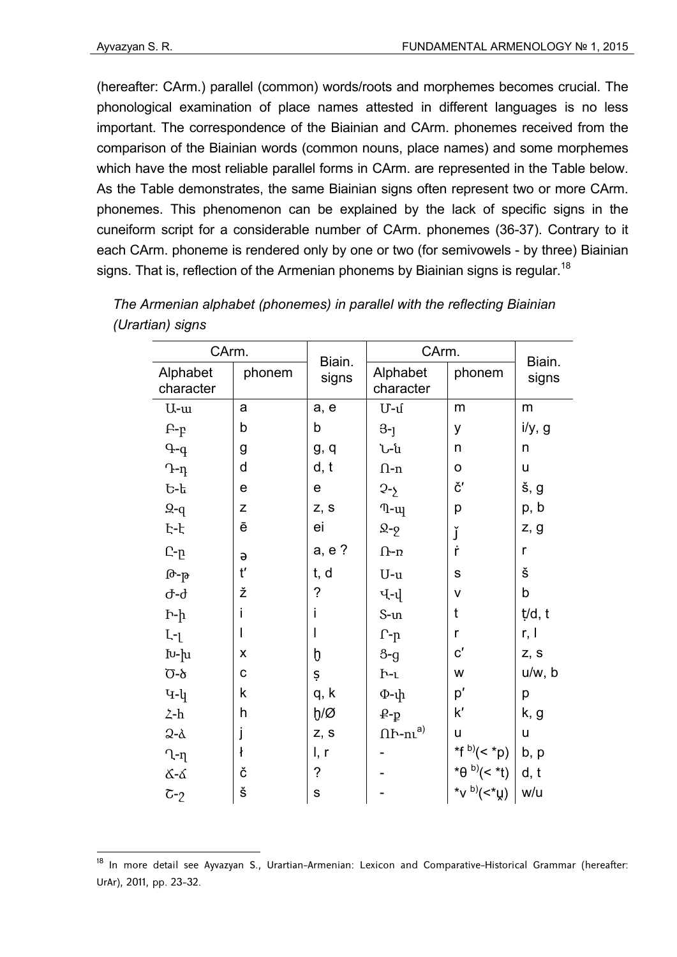(hereafter: CArm.) parallel (common) words/roots and morphemes becomes crucial. The phonological examination of place names attested in different languages is no less important. The correspondence of the Biainian and CArm. phonemes received from the comparison of the Biainian words (common nouns, place names) and some morphemes which have the most reliable parallel forms in CArm. are represented in the Table below. As the Table demonstrates, the same Biainian signs often represent two or more CArm. phonemes. This phenomenon can be explained by the lack of specific signs in the cuneiform script for a considerable number of CArm. phonemes (36-37). Contrary to it each CArm. phoneme is rendered only by one or two (for semivowels - by three) Biainian signs. That is, reflection of the Armenian phonems by Biainian signs is regular.<sup>18</sup>

| CArm.                               |             | Biain.<br>signs | CArm.                          | Biain.                                                                                           |             |
|-------------------------------------|-------------|-----------------|--------------------------------|--------------------------------------------------------------------------------------------------|-------------|
| Alphabet<br>character               | phonem      |                 | Alphabet<br>character          | phonem                                                                                           | signs       |
| U-u                                 | a           | a, e            | $U - u$                        | m                                                                                                | m           |
| $P-p$                               | b           | b               | $3-1$                          | У                                                                                                | i/y, g      |
| $q - q$                             | g           | g, q            | Ն-ն                            | n                                                                                                | n           |
| $T - \eta$                          | d           | d, t            | $n - n$                        | 0                                                                                                | u           |
| Ե-ե                                 | e           | ${\bf e}$       | $2 - 2$                        | č′                                                                                               | š, g        |
| $9 - q$                             | $\mathsf Z$ | Z, S            | $\eta$ - $\psi$                | р                                                                                                | p, b        |
| Է-է                                 | ē           | ei              | $\Omega$ -2                    | ľ                                                                                                | z, g        |
| Ը-ը                                 | $\Theta$    | a, e ?          | $\Omega$ -n                    | ŕ                                                                                                | $\mathsf r$ |
| Թ-թ                                 | ť           | t, d            | $U-u$                          | S                                                                                                | Š           |
| Ժ-ժ                                 | ž           | $\tilde{?}$     | प- $\psi$                      | V                                                                                                | $\sf b$     |
| $h-h$                               | İ           |                 | $S$ - $m$                      | t                                                                                                | t/d, t      |
| $\mathsf{L}\text{-}\mathsf{L}$      | I           |                 | $\Gamma$ \textnormal{-}p       | r                                                                                                | r, l        |
| Խ-խ                                 | X           | b               | $8 - g$                        | $\mathsf{c}'$                                                                                    | Z, S        |
| <u>Ծ-</u> ծ                         | $\mathbf C$ | Ş               | $h-1$                          | W                                                                                                | u/w, b      |
| $4 - 4$                             | k           | q, k            | $\Phi$ -փ                      | p'                                                                                               | р           |
| $\mathsf{\Sigma}\text{-}\mathsf{h}$ | h           | $b/\varnothing$ | $\mathbf{P}\text{-}\mathbf{p}$ | k'                                                                                               | k, g        |
| $2-\alpha$                          | j           | z, s            | $n_{h-hl}$ <sup>a)</sup>       | U                                                                                                | U           |
| Ղ-ղ                                 | ł           | I, r            |                                |                                                                                                  | b, p        |
| <u></u><br>ፊ-ፊ                      | č           | ?               |                                |                                                                                                  | d, t        |
| $\tau_{-2}$                         | Š           | ${\bf S}$       |                                | $\begin{array}{c}  (q^* \rangle)^\text{(d)}\\  (r^* \rangle)^\text{(d)} \end{array}$<br>*d (x *) | w/u         |

| The Armenian alphabet (phonemes) in parallel with the reflecting Biainian |
|---------------------------------------------------------------------------|
| (Urartian) signs                                                          |

<sup>&</sup>lt;sup>18</sup> In more detail see Ayvazyan S., Urartian-Armenian: Lexicon and Comparative-Historical Grammar (hereafter: UrAr), 2011, pp. 23-32.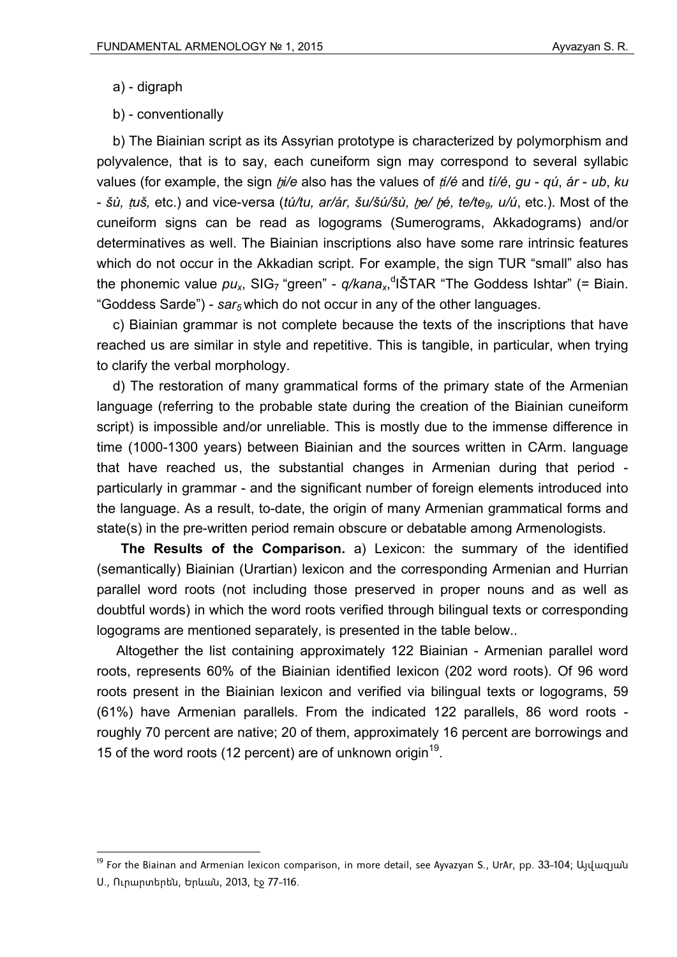a) - digraph

1

b) - conventionally

b) The Biainian script as its Assyrian prototype is characterized by polymorphism and polyvalence, that is to say, each cuneiform sign may correspond to several syllabic values (for example, the sign ḫ*i/e* also has the values of ṭ*í/é* and *tí/é*, *gu* - *qú*, *ár* - *ub*, *ku*  - *šù,* ṭ*uš,* etc.) and vice-versa (*tú/tu, ar/ár, šu/šú/šù,* ḫ*e/* ḫ*é, te/te9, u/ú*, etc.). Most of the cuneiform signs can be read as logograms (Sumerograms, Akkadograms) and/or determinatives as well. The Biainian inscriptions also have some rare intrinsic features which do not occur in the Akkadian script. For example, the sign TUR "small" also has the phonemic value  $pu_x$ , SIG<sub>7</sub> "green" - q/kana<sub>x</sub>,<sup>d</sup>IŠTAR "The Goddess Ishtar" (= Biain. "Goddess Sarde") - *sar<sub>5</sub>* which do not occur in any of the other languages.

c) Biainian grammar is not complete because the texts of the inscriptions that have reached us are similar in style and repetitive. This is tangible, in particular, when trying to clarify the verbal morphology.

d) The restoration of many grammatical forms of the primary state of the Armenian language (referring to the probable state during the creation of the Biainian cuneiform script) is impossible and/or unreliable. This is mostly due to the immense difference in time (1000-1300 years) between Biainian and the sources written in CArm. language that have reached us, the substantial changes in Armenian during that period particularly in grammar - and the significant number of foreign elements introduced into the language. As a result, to-date, the origin of many Armenian grammatical forms and state(s) in the pre-written period remain obscure or debatable among Armenologists.

**The Results of the Comparison.** a) Lexicon: the summary of the identified (semantically) Biainian (Urartian) lexicon and the corresponding Armenian and Hurrian parallel word roots (not including those preserved in proper nouns and as well as doubtful words) in which the word roots verified through bilingual texts or corresponding logograms are mentioned separately, is presented in the table below..

Altogether the list containing approximately 122 Biainian - Armenian parallel word roots, represents 60% of the Biainian identified lexicon (202 word roots). Of 96 word roots present in the Biainian lexicon and verified via bilingual texts or logograms, 59 (61%) have Armenian parallels. From the indicated 122 parallels, 86 word roots roughly 70 percent are native; 20 of them, approximately 16 percent are borrowings and 15 of the word roots (12 percent) are of unknown origin<sup>19</sup>.

<sup>&</sup>lt;sup>19</sup> For the Biainan and Armenian lexicon comparison, in more detail, see Ayvazyan S., UrAr, pp. 33-104; Այվազյան Ս., Ուրարտերեն, Երևան, 2013, էջ 77-116.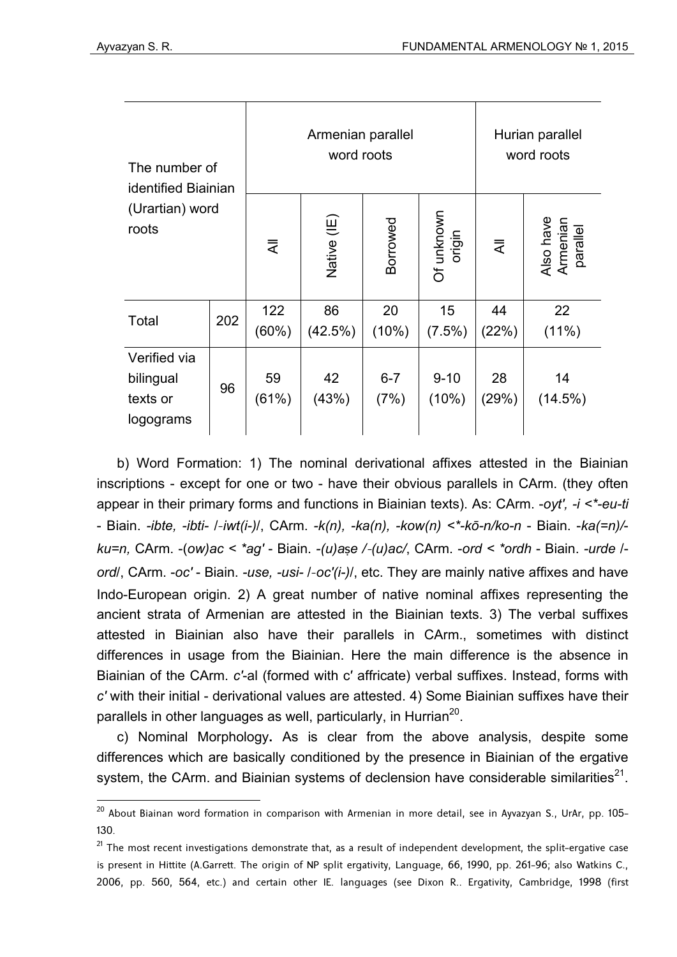| The number of<br>identified Biainian<br>(Urartian) word<br>roots |     | Armenian parallel<br>word roots |               |                 |                      | Hurian parallel<br>word roots |                                   |
|------------------------------------------------------------------|-----|---------------------------------|---------------|-----------------|----------------------|-------------------------------|-----------------------------------|
|                                                                  |     | ₹                               | Native (IE)   | Borrowed        | Of unknown<br>origin | $\bar{z}$                     | Also have<br>Armenian<br>parallel |
| Total                                                            | 202 | 122<br>$(60\%)$                 | 86<br>(42.5%) | 20<br>(10%)     | 15<br>$(7.5\%)$      | 44<br>(22%)                   | 22<br>$(11\%)$                    |
| Verified via<br>bilingual<br>texts or<br>logograms               | 96  | 59<br>(61%)                     | 42<br>(43%)   | $6 - 7$<br>(7%) | $9 - 10$<br>(10%)    | 28<br>(29%)                   | 14<br>$(14.5\%)$                  |

b) Word Formation: 1) The nominal derivational affixes attested in the Biainian inscriptions - except for one or two - have their obvious parallels in CArm. (they often appear in their primary forms and functions in Biainian texts). As: CArm. -*oyt′, -i <\*-eu-ti* - Biain. *-ibte, -ibti-* /-*iwt(i-)*/, CArm. *-k(n), -ka(n), -kow(n) <\*-kō-n/ko-n* - Biain. -*ka(=n)/ ku=n,* CArm. -(*ow)ac < \*ag′* - Biain. *-(u)a*ṣ*e /*-*(u)ac/*, CArm. -*ord < \*ordh* - Biain. *-urde* / *ord*/, CArm. -*oc′* - Biain. *-use, -usi-* /-*oc′(i-)*/, etc. They are mainly native affixes and have Indo-European origin. 2) A great number of native nominal affixes representing the ancient strata of Armenian are attested in the Biainian texts. 3) The verbal suffixes attested in Biainian also have their parallels in CArm., sometimes with distinct differences in usage from the Biainian. Here the main difference is the absence in Biainian of the CArm. *c′*-al (formed with c′ affricate) verbal suffixes. Instead, forms with *c′* with their initial - derivational values are attested. 4) Some Biainian suffixes have their parallels in other languages as well, particularly, in Hurrian<sup>20</sup>.

c) Nominal Morphology**.** As is clear from the above analysis, despite some differences which are basically conditioned by the presence in Biainian of the ergative system, the CArm, and Biainian systems of declension have considerable similarities<sup>21</sup>.

<sup>&</sup>lt;sup>20</sup> About Biainan word formation in comparison with Armenian in more detail, see in Ayvazyan S., UrAr, pp. 105-130.

 $21$  The most recent investigations demonstrate that, as a result of independent development, the split-ergative case is present in Hittite (A.Garrett. The origin of NP split ergativity, Language, 66, 1990, pp. 261-96; also Watkins C., 2006, pp. 560, 564, etc.) and certain other IE. languages (see Dixon R.. Ergativity, Cambridge, 1998 (first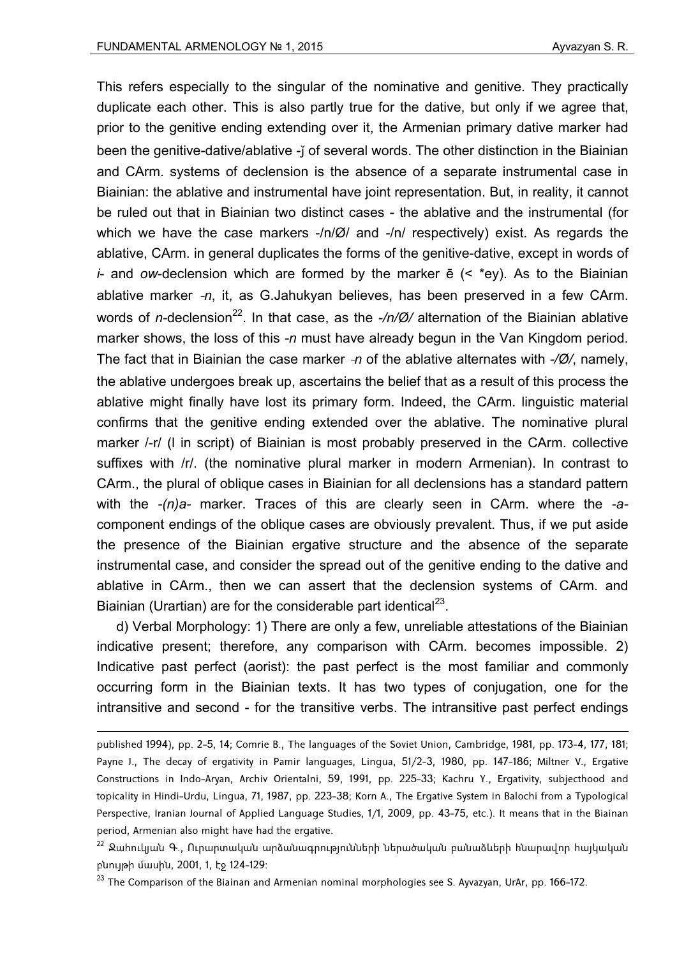This refers especially to the singular of the nominative and genitive. They practically duplicate each other. This is also partly true for the dative, but only if we agree that, prior to the genitive ending extending over it, the Armenian primary dative marker had been the genitive-dative/ablative -i of several words. The other distinction in the Biainian and CArm. systems of declension is the absence of a separate instrumental case in Biainian: the ablative and instrumental have joint representation. But, in reality, it cannot be ruled out that in Biainian two distinct cases - the ablative and the instrumental (for which we have the case markers -/n/Ø/ and -/n/ respectively) exist. As regards the ablative, CArm. in general duplicates the forms of the genitive-dative, except in words of *i*- and *ow*-declension which are formed by the marker ē (< \*ey). As to the Biainian ablative marker -*n*, it, as G.Jahukyan believes, has been preserved in a few CArm. words of *n*-declension<sup>22</sup>. In that case, as the -/n/Ø/ alternation of the Biainian ablative marker shows, the loss of this *-n* must have already begun in the Van Kingdom period. The fact that in Biainian the case marker -*n* of the ablative alternates with *-/Ø/*, namely, the ablative undergoes break up, ascertains the belief that as a result of this process the ablative might finally have lost its primary form. Indeed, the CArm. linguistic material confirms that the genitive ending extended over the ablative. The nominative plural marker /-r/ (l in script) of Biainian is most probably preserved in the CArm. collective suffixes with /r/. (the nominative plural marker in modern Armenian). In contrast to CArm., the plural of oblique cases in Biainian for all declensions has a standard pattern with the *-(n)a-* marker. Traces of this are clearly seen in CArm. where the *-a*component endings of the oblique cases are obviously prevalent. Thus, if we put aside the presence of the Biainian ergative structure and the absence of the separate instrumental case, and consider the spread out of the genitive ending to the dative and ablative in CArm., then we can assert that the declension systems of CArm. and Biainian (Urartian) are for the considerable part identical<sup>23</sup>.

d) Verbal Morphology: 1) There are only a few, unreliable attestations of the Biainian indicative present; therefore, any comparison with CArm. becomes impossible. 2) Indicative past perfect (aorist): the past perfect is the most familiar and commonly occurring form in the Biainian texts. It has two types of conjugation, one for the intransitive and second - for the transitive verbs. The intransitive past perfect endings

published 1994), pp. 2-5, 14; Comrie B., The languages of the Soviet Union, Cambridge, 1981, pp. 173-4, 177, 181; Payne J., The decay of ergativity in Pamir languages, Lingua, 51/2-3, 1980, pp. 147-186; Miltner V., Ergative Constructions in Indo-Aryan, Archiv Orientalni, 59, 1991, pp. 225-33; Kachru Y., Ergativity, subjecthood and topicality in Hindi-Urdu, Lingua, 71, 1987, pp. 223-38; Korn A., The Ergative System in Balochi from a Typological Perspective, Iranian Journal of Applied Language Studies, 1/1, 2009, pp. 43-75, etc.). It means that in the Biainan period, Armenian also might have had the ergative.

 $^{22}$  Ջահուկյան Գ., Ուրարտական արձանագրությունների ներածական բանաձևերի հնարավոր հայկական բնույթի մասին, 2001, 1, էջ 124-129:

<sup>&</sup>lt;sup>23</sup> The Comparison of the Biainan and Armenian nominal morphologies see S. Ayvazyan, UrAr, pp. 166-172.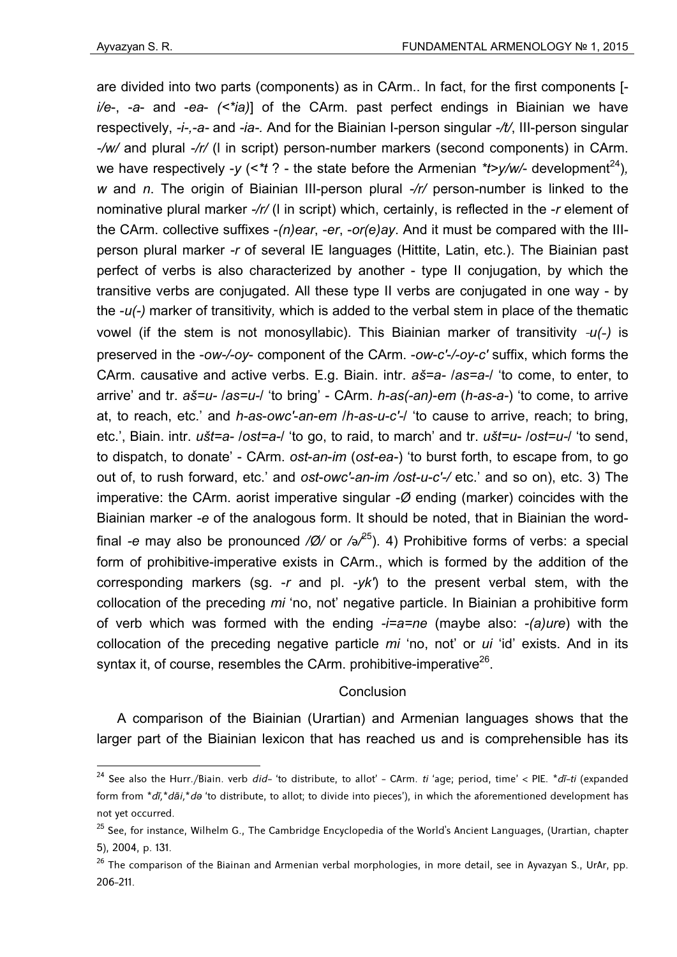<u>.</u>

are divided into two parts (components) as in CArm.. In fact, for the first components [ *i/e*-, -*a*- and -*ea*- *(<\*ia)*] of the CArm. past perfect endings in Biainian we have respectively, *-i-,-a-* and *-ia-.* And for the Biainian I-person singular *-/t/*, III-person singular *-/w/* and plural *-/r/* (l in script) person-number markers (second components) in CArm. we have respectively -*y* (<*\*t* ? - the state before the Armenian *\*t>y/w/*- development<sup>24</sup>). *w* and *n*. The origin of Biainian III-person plural *-/r/* person-number is linked to the nominative plural marker *-/r/* (l in script) which, certainly, is reflected in the -*r* element of the CArm. collective suffixes -*(n)ear*, -*er*, -*or(e)ay*. And it must be compared with the IIIperson plural marker *-r* of several IE languages (Hittite, Latin, etc.). The Biainian past perfect of verbs is also characterized by another - type II conjugation, by which the transitive verbs are conjugated. All these type II verbs are conjugated in one way - by the -*u(-)* marker of transitivity*,* which is added to the verbal stem in place of the thematic vowel (if the stem is not monosyllabic). This Biainian marker of transitivity -*u(*-*)* is preserved in the -*ow-/-oy*- component of the CArm. -*ow*-*c′*-*/-oy*-*c′* suffix, which forms the CArm. causative and active verbs. E.g. Biain. intr. *aš=a-* /*as=a-*/ 'to come, to enter, to arrive' and tr. *aš=u-* /*as=u-*/ 'to bring' - CArm. *h-as(-an)*-*em* (*h-as-a-*) 'to come, to arrive at, to reach, etc.' and *h-as*-*owc′*-*an*-*em* /*h-as-u-c′-*/ 'to cause to arrive, reach; to bring, etc.', Biain. intr. *ušt=a-* /*ost=a-*/ 'to go, to raid, to march' and tr. *ušt=u-* /*ost=u-*/ 'to send, to dispatch, to donate' - CArm. *ost*-*an*-*im* (*ost-ea-*) 'to burst forth, to escape from, to go out of, to rush forward, etc.' and *ost*-*owc′*-*an*-*im /ost-u-c′-/* etc.' and so on), etc. 3) The imperative: the CArm. aorist imperative singular *-Ø* ending (marker) coincides with the Biainian marker *-e* of the analogous form. It should be noted, that in Biainian the wordfinal *-e* may also be pronounced */Ø/* or */*ǝ*/* 25). 4) Prohibitive forms of verbs: a special form of prohibitive-imperative exists in CArm., which is formed by the addition of the corresponding markers (sg. -*r* and pl. -*yk′*) to the present verbal stem, with the collocation of the preceding *mi* 'no, not' negative particle. In Biainian a prohibitive form of verb which was formed with the ending *-i=a=ne* (maybe also: *-(a)ure*) with the collocation of the preceding negative particle *mi* 'no, not' or *ui* 'id' exists. And in its syntax it, of course, resembles the CArm. prohibitive-imperative<sup>26</sup>.

## Conclusion

A comparison of the Biainian (Urartian) and Armenian languages shows that the larger part of the Biainian lexicon that has reached us and is comprehensible has its

<sup>24</sup> See also the Hurr./Biain. verb *did-* 'to distribute, to allot' - CArm. *ti* 'age; period, time' < PIE. *\*dī-ti* (expanded form from *\*dī,\*dāi,*\**də* 'to distribute, to allot; to divide into pieces'), in which the aforementioned development has not yet occurred.

<sup>&</sup>lt;sup>25</sup> See, for instance, Wilhelm G., The Cambridge Encyclopedia of the World's Ancient Languages, (Urartian, chapter 5), 2004, p. 131.

 $^{26}$  The comparison of the Biainan and Armenian verbal morphologies, in more detail, see in Ayvazyan S., UrAr, pp. 206-211.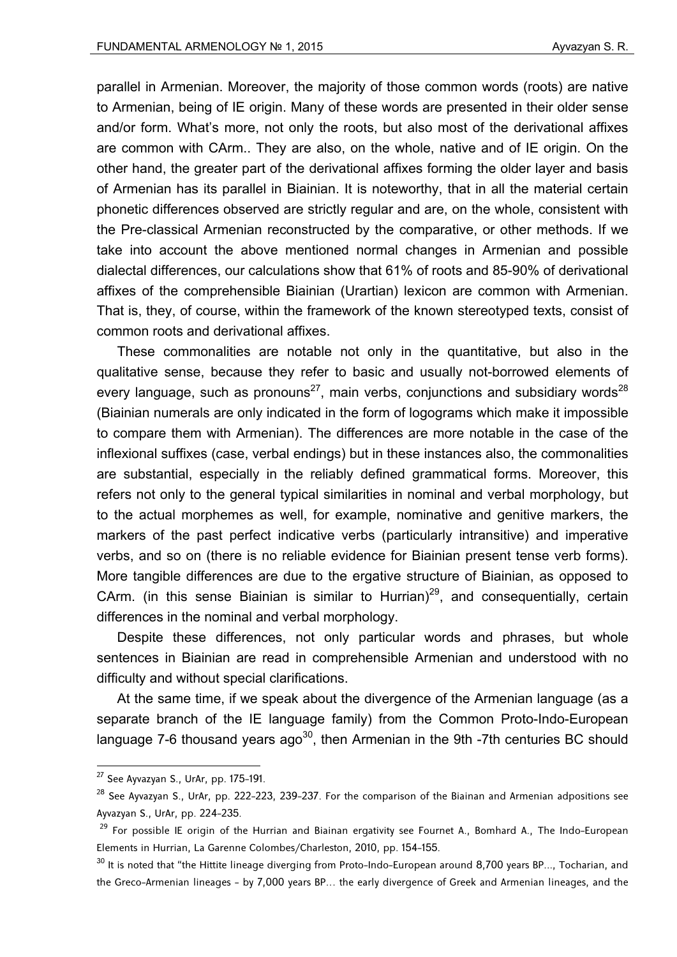parallel in Armenian. Moreover, the majority of those common words (roots) are native to Armenian, being of IE origin. Many of these words are presented in their older sense and/or form. What's more, not only the roots, but also most of the derivational affixes are common with CArm.. They are also, on the whole, native and of IE origin. On the other hand, the greater part of the derivational affixes forming the older layer and basis of Armenian has its parallel in Biainian. It is noteworthy, that in all the material certain phonetic differences observed are strictly regular and are, on the whole, consistent with the Pre-classical Armenian reconstructed by the comparative, or other methods. If we take into account the above mentioned normal changes in Armenian and possible dialectal differences, our calculations show that 61% of roots and 85-90% of derivational affixes of the comprehensible Biainian (Urartian) lexicon are common with Armenian. That is, they, of course, within the framework of the known stereotyped texts, consist of common roots and derivational affixes.

These commonalities are notable not only in the quantitative, but also in the qualitative sense, because they refer to basic and usually not-borrowed elements of every language, such as pronouns<sup>27</sup>, main verbs, conjunctions and subsidiary words<sup>28</sup> (Biainian numerals are only indicated in the form of logograms which make it impossible to compare them with Armenian). The differences are more notable in the case of the inflexional suffixes (case, verbal endings) but in these instances also, the commonalities are substantial, especially in the reliably defined grammatical forms. Moreover, this refers not only to the general typical similarities in nominal and verbal morphology, but to the actual morphemes as well, for example, nominative and genitive markers, the markers of the past perfect indicative verbs (particularly intransitive) and imperative verbs, and so on (there is no reliable evidence for Biainian present tense verb forms). More tangible differences are due to the ergative structure of Biainian, as opposed to CArm. (in this sense Biainian is similar to Hurrian)<sup>29</sup>, and consequentially, certain differences in the nominal and verbal morphology.

Despite these differences, not only particular words and phrases, but whole sentences in Biainian are read in comprehensible Armenian and understood with no difficulty and without special clarifications.

At the same time, if we speak about the divergence of the Armenian language (as a separate branch of the IE language family) from the Common Proto-Indo-European language 7-6 thousand years ago<sup>30</sup>, then Armenian in the 9th  $-7$ th centuries BC should

<u>.</u>

 $27$  See Ayvazyan S., UrAr, pp. 175-191.

<sup>&</sup>lt;sup>28</sup> See Ayvazyan S., UrAr, pp. 222-223, 239-237. For the comparison of the Biainan and Armenian adpositions see Ayvazyan S., UrAr, pp. 224-235.

<sup>&</sup>lt;sup>29</sup> For possible IE origin of the Hurrian and Biainan ergativity see Fournet A., Bomhard A., The Indo-European Elements in Hurrian, La Garenne Colombes/Charleston, 2010, pp. 154-155.

 $30$  It is noted that "the Hittite lineage diverging from Proto-Indo-European around 8,700 years BP..., Tocharian, and the Greco-Armenian lineages - by 7,000 years BP… the early divergence of Greek and Armenian lineages, and the